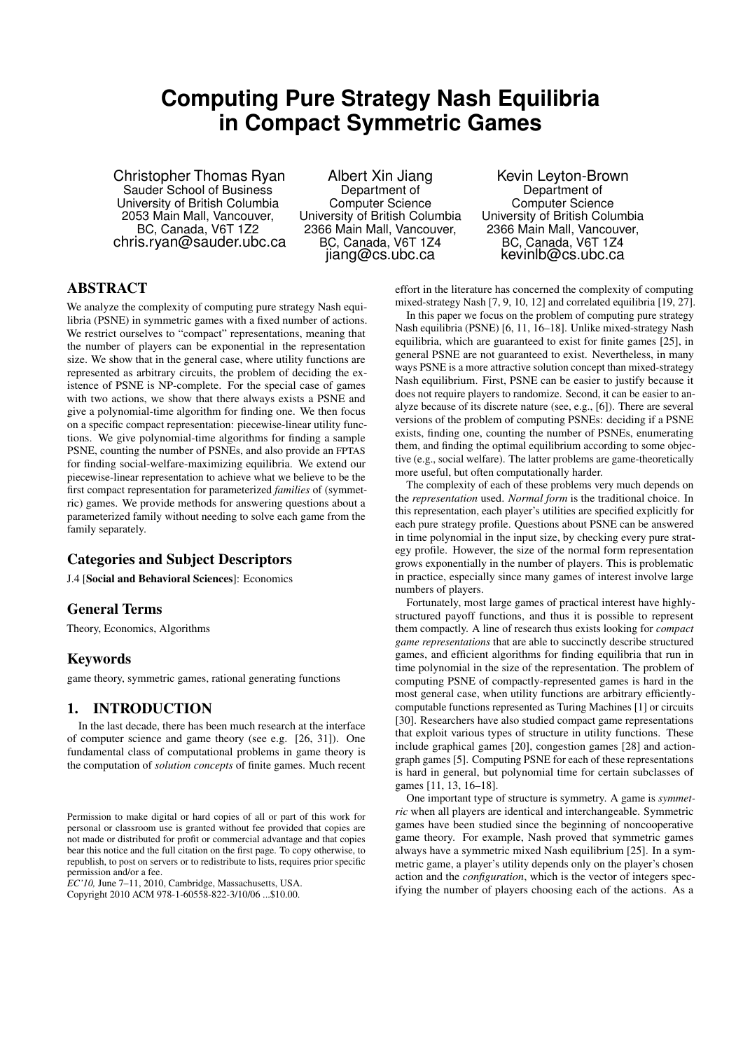# **Computing Pure Strategy Nash Equilibria in Compact Symmetric Games**

Christopher Thomas Ryan Sauder School of Business University of British Columbia 2053 Main Mall, Vancouver, BC, Canada, V6T 1Z2 chris.ryan@sauder.ubc.ca

Albert Xin Jiang Department of Computer Science University of British Columbia 2366 Main Mall, Vancouver, BC, Canada, V6T 1Z4 jiang@cs.ubc.ca

Kevin Leyton-Brown Department of Computer Science University of British Columbia 2366 Main Mall, Vancouver, BC, Canada, V6T 1Z4 kevinlb@cs.ubc.ca

# ABSTRACT

We analyze the complexity of computing pure strategy Nash equilibria (PSNE) in symmetric games with a fixed number of actions. We restrict ourselves to "compact" representations, meaning that the number of players can be exponential in the representation size. We show that in the general case, where utility functions are represented as arbitrary circuits, the problem of deciding the existence of PSNE is NP-complete. For the special case of games with two actions, we show that there always exists a PSNE and give a polynomial-time algorithm for finding one. We then focus on a specific compact representation: piecewise-linear utility functions. We give polynomial-time algorithms for finding a sample PSNE, counting the number of PSNEs, and also provide an FPTAS for finding social-welfare-maximizing equilibria. We extend our piecewise-linear representation to achieve what we believe to be the first compact representation for parameterized *families* of (symmetric) games. We provide methods for answering questions about a parameterized family without needing to solve each game from the family separately.

# Categories and Subject Descriptors

J.4 [Social and Behavioral Sciences]: Economics

# General Terms

Theory, Economics, Algorithms

## Keywords

game theory, symmetric games, rational generating functions

# 1. INTRODUCTION

In the last decade, there has been much research at the interface of computer science and game theory (see e.g. [26, 31]). One fundamental class of computational problems in game theory is the computation of *solution concepts* of finite games. Much recent

*EC'10,* June 7–11, 2010, Cambridge, Massachusetts, USA. Copyright 2010 ACM 978-1-60558-822-3/10/06 ...\$10.00.

effort in the literature has concerned the complexity of computing mixed-strategy Nash [7, 9, 10, 12] and correlated equilibria [19, 27].

In this paper we focus on the problem of computing pure strategy Nash equilibria (PSNE) [6, 11, 16–18]. Unlike mixed-strategy Nash equilibria, which are guaranteed to exist for finite games [25], in general PSNE are not guaranteed to exist. Nevertheless, in many ways PSNE is a more attractive solution concept than mixed-strategy Nash equilibrium. First, PSNE can be easier to justify because it does not require players to randomize. Second, it can be easier to analyze because of its discrete nature (see, e.g., [6]). There are several versions of the problem of computing PSNEs: deciding if a PSNE exists, finding one, counting the number of PSNEs, enumerating them, and finding the optimal equilibrium according to some objective (e.g., social welfare). The latter problems are game-theoretically more useful, but often computationally harder.

The complexity of each of these problems very much depends on the *representation* used. *Normal form* is the traditional choice. In this representation, each player's utilities are specified explicitly for each pure strategy profile. Questions about PSNE can be answered in time polynomial in the input size, by checking every pure strategy profile. However, the size of the normal form representation grows exponentially in the number of players. This is problematic in practice, especially since many games of interest involve large numbers of players.

Fortunately, most large games of practical interest have highlystructured payoff functions, and thus it is possible to represent them compactly. A line of research thus exists looking for *compact game representations* that are able to succinctly describe structured games, and efficient algorithms for finding equilibria that run in time polynomial in the size of the representation. The problem of computing PSNE of compactly-represented games is hard in the most general case, when utility functions are arbitrary efficientlycomputable functions represented as Turing Machines [1] or circuits [30]. Researchers have also studied compact game representations that exploit various types of structure in utility functions. These include graphical games [20], congestion games [28] and actiongraph games [5]. Computing PSNE for each of these representations is hard in general, but polynomial time for certain subclasses of games [11, 13, 16–18].

One important type of structure is symmetry. A game is *symmetric* when all players are identical and interchangeable. Symmetric games have been studied since the beginning of noncooperative game theory. For example, Nash proved that symmetric games always have a symmetric mixed Nash equilibrium [25]. In a symmetric game, a player's utility depends only on the player's chosen action and the *configuration*, which is the vector of integers specifying the number of players choosing each of the actions. As a

Permission to make digital or hard copies of all or part of this work for personal or classroom use is granted without fee provided that copies are not made or distributed for profit or commercial advantage and that copies bear this notice and the full citation on the first page. To copy otherwise, to republish, to post on servers or to redistribute to lists, requires prior specific permission and/or a fee.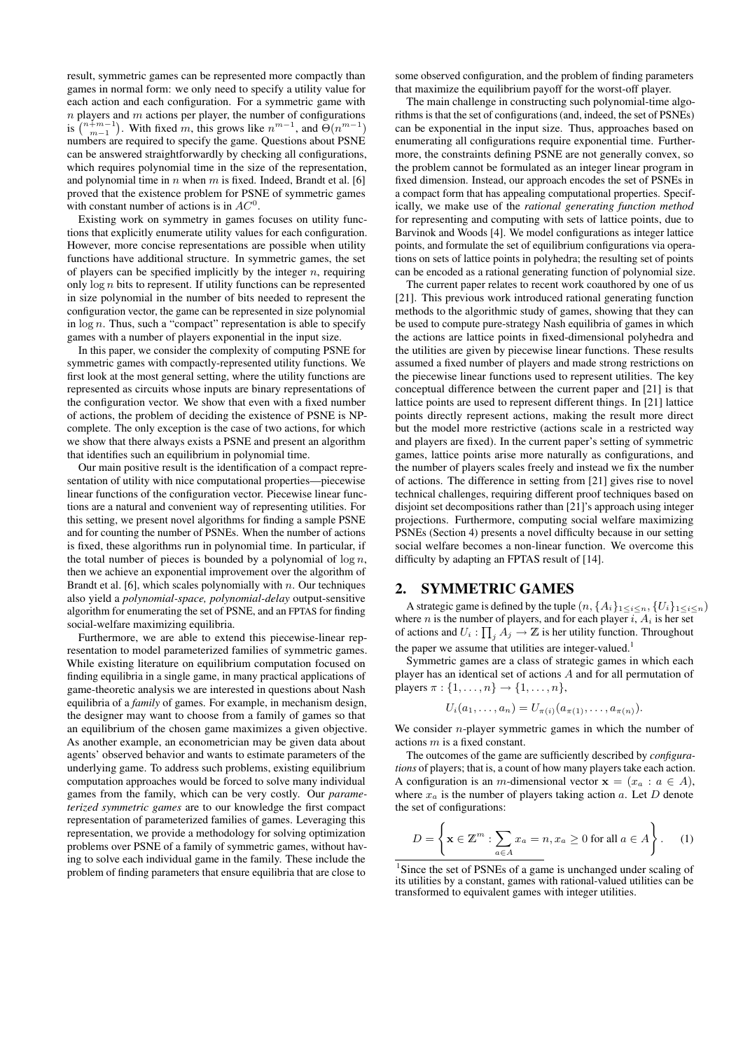result, symmetric games can be represented more compactly than games in normal form: we only need to specify a utility value for each action and each configuration. For a symmetric game with  $n$  players and  $m$  actions per player, the number of configurations is  $\binom{n+m-1}{m-1}$ . With fixed m, this grows like  $n^{m-1}$ , and  $\Theta(n^{m-1})$ numbers are required to specify the game. Questions about PSNE can be answered straightforwardly by checking all configurations, which requires polynomial time in the size of the representation, and polynomial time in n when m is fixed. Indeed, Brandt et al. [6] proved that the existence problem for PSNE of symmetric games with constant number of actions is in  $AC^0$ .

Existing work on symmetry in games focuses on utility functions that explicitly enumerate utility values for each configuration. However, more concise representations are possible when utility functions have additional structure. In symmetric games, the set of players can be specified implicitly by the integer  $n$ , requiring only  $\log n$  bits to represent. If utility functions can be represented in size polynomial in the number of bits needed to represent the configuration vector, the game can be represented in size polynomial in  $log n$ . Thus, such a "compact" representation is able to specify games with a number of players exponential in the input size.

In this paper, we consider the complexity of computing PSNE for symmetric games with compactly-represented utility functions. We first look at the most general setting, where the utility functions are represented as circuits whose inputs are binary representations of the configuration vector. We show that even with a fixed number of actions, the problem of deciding the existence of PSNE is NPcomplete. The only exception is the case of two actions, for which we show that there always exists a PSNE and present an algorithm that identifies such an equilibrium in polynomial time.

Our main positive result is the identification of a compact representation of utility with nice computational properties—piecewise linear functions of the configuration vector. Piecewise linear functions are a natural and convenient way of representing utilities. For this setting, we present novel algorithms for finding a sample PSNE and for counting the number of PSNEs. When the number of actions is fixed, these algorithms run in polynomial time. In particular, if the total number of pieces is bounded by a polynomial of  $\log n$ , then we achieve an exponential improvement over the algorithm of Brandt et al. [6], which scales polynomially with  $n$ . Our techniques also yield a *polynomial-space, polynomial-delay* output-sensitive algorithm for enumerating the set of PSNE, and an FPTAS for finding social-welfare maximizing equilibria.

Furthermore, we are able to extend this piecewise-linear representation to model parameterized families of symmetric games. While existing literature on equilibrium computation focused on finding equilibria in a single game, in many practical applications of game-theoretic analysis we are interested in questions about Nash equilibria of a *family* of games. For example, in mechanism design, the designer may want to choose from a family of games so that an equilibrium of the chosen game maximizes a given objective. As another example, an econometrician may be given data about agents' observed behavior and wants to estimate parameters of the underlying game. To address such problems, existing equilibrium computation approaches would be forced to solve many individual games from the family, which can be very costly. Our *parameterized symmetric games* are to our knowledge the first compact representation of parameterized families of games. Leveraging this representation, we provide a methodology for solving optimization problems over PSNE of a family of symmetric games, without having to solve each individual game in the family. These include the problem of finding parameters that ensure equilibria that are close to

some observed configuration, and the problem of finding parameters that maximize the equilibrium payoff for the worst-off player.

The main challenge in constructing such polynomial-time algorithms is that the set of configurations (and, indeed, the set of PSNEs) can be exponential in the input size. Thus, approaches based on enumerating all configurations require exponential time. Furthermore, the constraints defining PSNE are not generally convex, so the problem cannot be formulated as an integer linear program in fixed dimension. Instead, our approach encodes the set of PSNEs in a compact form that has appealing computational properties. Specifically, we make use of the *rational generating function method* for representing and computing with sets of lattice points, due to Barvinok and Woods [4]. We model configurations as integer lattice points, and formulate the set of equilibrium configurations via operations on sets of lattice points in polyhedra; the resulting set of points can be encoded as a rational generating function of polynomial size.

The current paper relates to recent work coauthored by one of us [21]. This previous work introduced rational generating function methods to the algorithmic study of games, showing that they can be used to compute pure-strategy Nash equilibria of games in which the actions are lattice points in fixed-dimensional polyhedra and the utilities are given by piecewise linear functions. These results assumed a fixed number of players and made strong restrictions on the piecewise linear functions used to represent utilities. The key conceptual difference between the current paper and [21] is that lattice points are used to represent different things. In [21] lattice points directly represent actions, making the result more direct but the model more restrictive (actions scale in a restricted way and players are fixed). In the current paper's setting of symmetric games, lattice points arise more naturally as configurations, and the number of players scales freely and instead we fix the number of actions. The difference in setting from [21] gives rise to novel technical challenges, requiring different proof techniques based on disjoint set decompositions rather than [21]'s approach using integer projections. Furthermore, computing social welfare maximizing PSNEs (Section 4) presents a novel difficulty because in our setting social welfare becomes a non-linear function. We overcome this difficulty by adapting an FPTAS result of [14].

# 2. SYMMETRIC GAMES

A strategic game is defined by the tuple  $(n, \{A_i\}_{1 \leq i \leq n}, \{U_i\}_{1 \leq i \leq n})$ where *n* is the number of players, and for each player  $i$ ,  $A_i$  is her set of actions and  $U_i: \prod_j A_j \to \mathbb{Z}$  is her utility function. Throughout the paper we assume that utilities are integer-valued.<sup>1</sup>

Symmetric games are a class of strategic games in which each player has an identical set of actions A and for all permutation of players  $\pi : \{1, ..., n\} \to \{1, ..., n\},$ 

$$
U_i(a_1,\ldots,a_n) = U_{\pi(i)}(a_{\pi(1)},\ldots,a_{\pi(n)}).
$$

We consider  $n$ -player symmetric games in which the number of actions m is a fixed constant.

The outcomes of the game are sufficiently described by *configurations* of players; that is, a count of how many players take each action. A configuration is an m-dimensional vector  $x = (x_a : a \in A)$ , where  $x_a$  is the number of players taking action  $a$ . Let  $D$  denote the set of configurations:

$$
D = \left\{ \mathbf{x} \in \mathbb{Z}^m : \sum_{a \in A} x_a = n, x_a \ge 0 \text{ for all } a \in A \right\}.
$$
 (1)

<sup>1</sup>Since the set of PSNEs of a game is unchanged under scaling of its utilities by a constant, games with rational-valued utilities can be transformed to equivalent games with integer utilities.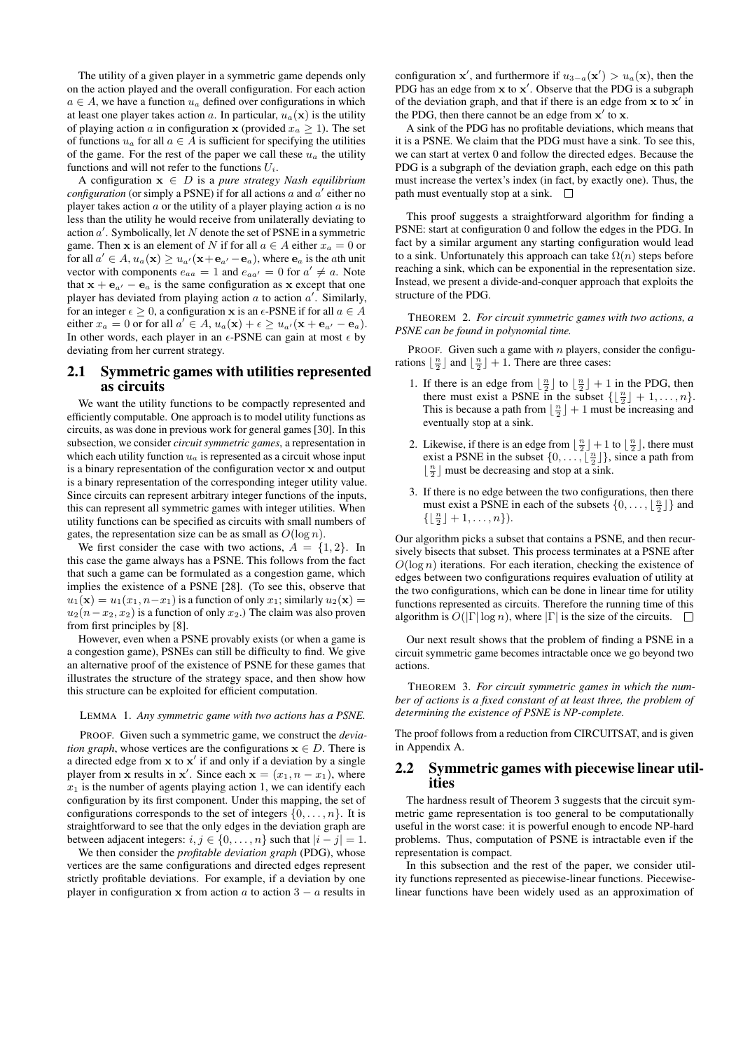The utility of a given player in a symmetric game depends only on the action played and the overall configuration. For each action  $a \in A$ , we have a function  $u_a$  defined over configurations in which at least one player takes action a. In particular,  $u_a(\mathbf{x})$  is the utility of playing action a in configuration x (provided  $x_a \ge 1$ ). The set of functions  $u_a$  for all  $a \in A$  is sufficient for specifying the utilities of the game. For the rest of the paper we call these  $u_a$  the utility functions and will not refer to the functions  $U_i$ .

A configuration  $x \in D$  is a *pure strategy Nash equilibrium configuration* (or simply a PSNE) if for all actions  $a$  and  $a'$  either no player takes action  $\alpha$  or the utility of a player playing action  $\alpha$  is no less than the utility he would receive from unilaterally deviating to action  $a'$ . Symbolically, let N denote the set of PSNE in a symmetric game. Then x is an element of N if for all  $a \in A$  either  $x_a = 0$  or for all  $a' \in A$ ,  $u_a(\mathbf{x}) \ge u_{a'}(\mathbf{x}+\mathbf{e}_{a'}-\mathbf{e}_a)$ , where  $\mathbf{e}_a$  is the *a*th unit vector with components  $e_{aa} = 1$  and  $e_{aa'} = 0$  for  $a' \neq a$ . Note that  $x + e_{a'} - e_a$  is the same configuration as x except that one player has deviated from playing action  $a$  to action  $a'$ . Similarly, for an integer  $\epsilon \geq 0$ , a configuration x is an  $\epsilon$ -PSNE if for all  $a \in A$ either  $x_a = 0$  or for all  $a' \in A$ ,  $u_a(\mathbf{x}) + \epsilon \ge u_{a'}(\mathbf{x} + \mathbf{e}_{a'} - \mathbf{e}_a)$ . In other words, each player in an  $\epsilon$ -PSNE can gain at most  $\epsilon$  by deviating from her current strategy.

## 2.1 Symmetric games with utilities represented as circuits

We want the utility functions to be compactly represented and efficiently computable. One approach is to model utility functions as circuits, as was done in previous work for general games [30]. In this subsection, we consider *circuit symmetric games*, a representation in which each utility function  $u_a$  is represented as a circuit whose input is a binary representation of the configuration vector x and output is a binary representation of the corresponding integer utility value. Since circuits can represent arbitrary integer functions of the inputs, this can represent all symmetric games with integer utilities. When utility functions can be specified as circuits with small numbers of gates, the representation size can be as small as  $O(\log n)$ .

We first consider the case with two actions,  $A = \{1, 2\}$ . In this case the game always has a PSNE. This follows from the fact that such a game can be formulated as a congestion game, which implies the existence of a PSNE [28]. (To see this, observe that  $u_1(\mathbf{x}) = u_1(x_1, n-x_1)$  is a function of only  $x_1$ ; similarly  $u_2(\mathbf{x}) =$  $u_2(n-x_2, x_2)$  is a function of only  $x_2$ .) The claim was also proven from first principles by [8].

However, even when a PSNE provably exists (or when a game is a congestion game), PSNEs can still be difficulty to find. We give an alternative proof of the existence of PSNE for these games that illustrates the structure of the strategy space, and then show how this structure can be exploited for efficient computation.

#### LEMMA 1. *Any symmetric game with two actions has a PSNE.*

PROOF. Given such a symmetric game, we construct the *deviation graph*, whose vertices are the configurations  $x \in D$ . There is a directed edge from  $x$  to  $x'$  if and only if a deviation by a single player from **x** results in **x'**. Since each **x** =  $(x_1, n - x_1)$ , where  $x_1$  is the number of agents playing action 1, we can identify each configuration by its first component. Under this mapping, the set of configurations corresponds to the set of integers  $\{0, \ldots, n\}$ . It is straightforward to see that the only edges in the deviation graph are between adjacent integers:  $i, j \in \{0, ..., n\}$  such that  $|i - j| = 1$ .

We then consider the *profitable deviation graph* (PDG), whose vertices are the same configurations and directed edges represent strictly profitable deviations. For example, if a deviation by one player in configuration x from action  $a$  to action  $3 - a$  results in configuration **x'**, and furthermore if  $u_{3-a}(\mathbf{x}') > u_a(\mathbf{x})$ , then the PDG has an edge from  $x$  to  $x'$ . Observe that the PDG is a subgraph of the deviation graph, and that if there is an edge from  $x$  to  $x'$  in the PDG, then there cannot be an edge from  $x'$  to  $x$ .

A sink of the PDG has no profitable deviations, which means that it is a PSNE. We claim that the PDG must have a sink. To see this, we can start at vertex 0 and follow the directed edges. Because the PDG is a subgraph of the deviation graph, each edge on this path must increase the vertex's index (in fact, by exactly one). Thus, the path must eventually stop at a sink.  $\square$ 

This proof suggests a straightforward algorithm for finding a PSNE: start at configuration 0 and follow the edges in the PDG. In fact by a similar argument any starting configuration would lead to a sink. Unfortunately this approach can take  $\Omega(n)$  steps before reaching a sink, which can be exponential in the representation size. Instead, we present a divide-and-conquer approach that exploits the structure of the PDG.

THEOREM 2. *For circuit symmetric games with two actions, a PSNE can be found in polynomial time.*

PROOF. Given such a game with  $n$  players, consider the configurations  $\lfloor \frac{n}{2} \rfloor$  and  $\lfloor \frac{n}{2} \rfloor + 1$ . There are three cases:

- 1. If there is an edge from  $\lfloor \frac{n}{2} \rfloor$  to  $\lfloor \frac{n}{2} \rfloor + 1$  in the PDG, then there must exist a PSNE in the subset  $\{\lfloor \frac{n}{2} \rfloor + 1, \ldots, n\}.$ This is because a path from  $\lfloor \frac{n}{2} \rfloor + 1$  must be increasing and eventually stop at a sink.
- 2. Likewise, if there is an edge from  $\lfloor \frac{n}{2} \rfloor + 1$  to  $\lfloor \frac{n}{2} \rfloor$ , there must exist a PSNE in the subset  $\{0, \ldots, \lfloor \frac{n}{2} \rfloor\}$ , since a path from  $\lfloor \frac{n}{2} \rfloor$  must be decreasing and stop at a sink.
- 3. If there is no edge between the two configurations, then there must exist a PSNE in each of the subsets  $\{0, \ldots, \lfloor \frac{n}{2} \rfloor\}$  and  $\{\lfloor \frac{n}{2} \rfloor + 1, \ldots, n\}.$

Our algorithm picks a subset that contains a PSNE, and then recursively bisects that subset. This process terminates at a PSNE after  $O(\log n)$  iterations. For each iteration, checking the existence of edges between two configurations requires evaluation of utility at the two configurations, which can be done in linear time for utility functions represented as circuits. Therefore the running time of this algorithm is  $O(|\Gamma| \log n)$ , where  $|\Gamma|$  is the size of the circuits.  $\Box$ 

Our next result shows that the problem of finding a PSNE in a circuit symmetric game becomes intractable once we go beyond two actions.

THEOREM 3. *For circuit symmetric games in which the number of actions is a fixed constant of at least three, the problem of determining the existence of PSNE is NP-complete.*

The proof follows from a reduction from CIRCUITSAT, and is given in Appendix A.

## 2.2 Symmetric games with piecewise linear utilities

The hardness result of Theorem 3 suggests that the circuit symmetric game representation is too general to be computationally useful in the worst case: it is powerful enough to encode NP-hard problems. Thus, computation of PSNE is intractable even if the representation is compact.

In this subsection and the rest of the paper, we consider utility functions represented as piecewise-linear functions. Piecewiselinear functions have been widely used as an approximation of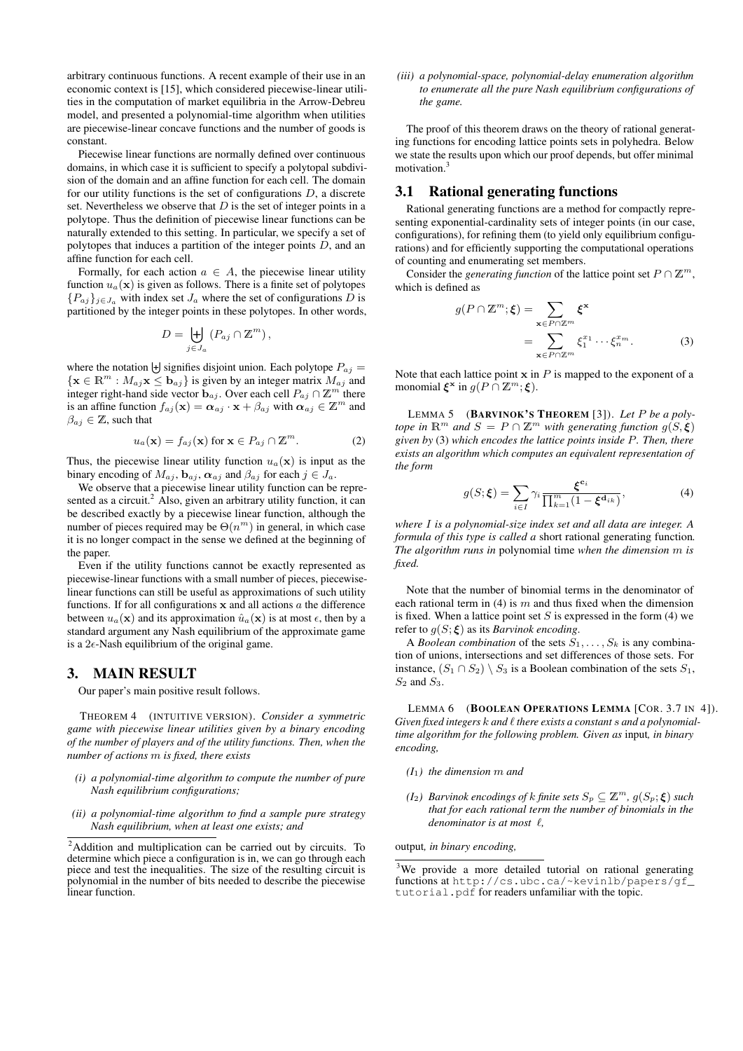arbitrary continuous functions. A recent example of their use in an economic context is [15], which considered piecewise-linear utilities in the computation of market equilibria in the Arrow-Debreu model, and presented a polynomial-time algorithm when utilities are piecewise-linear concave functions and the number of goods is constant.

Piecewise linear functions are normally defined over continuous domains, in which case it is sufficient to specify a polytopal subdivision of the domain and an affine function for each cell. The domain for our utility functions is the set of configurations  $D$ , a discrete set. Nevertheless we observe that  $D$  is the set of integer points in a polytope. Thus the definition of piecewise linear functions can be naturally extended to this setting. In particular, we specify a set of polytopes that induces a partition of the integer points D, and an affine function for each cell.

Formally, for each action  $a \in A$ , the piecewise linear utility function  $u_a(\mathbf{x})$  is given as follows. There is a finite set of polytopes  ${P_{aj}}_{j \in J_a}$  with index set  $J_a$  where the set of configurations  $\overrightarrow{D}$  is partitioned by the integer points in these polytopes. In other words,

$$
D = \biguplus_{j \in J_a} (P_{aj} \cap \mathbb{Z}^m),
$$

where the notation  $\biguplus$  signifies disjoint union. Each polytope  $P_{aj}$  =  $\{ \mathbf{x} \in \mathbb{R}^m : M_{aj} \mathbf{x} \leq \mathbf{b}_{aj} \}$  is given by an integer matrix  $M_{aj}$  and integer right-hand side vector  $\mathbf{b}_{aj}$ . Over each cell  $P_{aj} \cap \mathbb{Z}^m$  there is an affine function  $f_{aj}(\mathbf{x}) = \alpha_{aj} \cdot \mathbf{x} + \beta_{aj}$  with  $\alpha_{aj} \in \mathbb{Z}^m$  and  $\beta_{aj} \in \mathbb{Z}$ , such that

$$
u_a(\mathbf{x}) = f_{aj}(\mathbf{x}) \text{ for } \mathbf{x} \in P_{aj} \cap \mathbb{Z}^m. \tag{2}
$$

Thus, the piecewise linear utility function  $u_a(\mathbf{x})$  is input as the binary encoding of  $M_{aj}$ ,  $\mathbf{b}_{aj}$ ,  $\alpha_{aj}$  and  $\beta_{aj}$  for each  $j \in J_a$ .

We observe that a piecewise linear utility function can be represented as a circuit.<sup>2</sup> Also, given an arbitrary utility function, it can be described exactly by a piecewise linear function, although the number of pieces required may be  $\Theta(n^m)$  in general, in which case it is no longer compact in the sense we defined at the beginning of the paper.

Even if the utility functions cannot be exactly represented as piecewise-linear functions with a small number of pieces, piecewiselinear functions can still be useful as approximations of such utility functions. If for all configurations  $x$  and all actions  $a$  the difference between  $u_a(\mathbf{x})$  and its approximation  $\hat{u}_a(\mathbf{x})$  is at most  $\epsilon$ , then by a standard argument any Nash equilibrium of the approximate game is a  $2\epsilon$ -Nash equilibrium of the original game.

## 3. MAIN RESULT

Our paper's main positive result follows.

THEOREM 4 (INTUITIVE VERSION). *Consider a symmetric game with piecewise linear utilities given by a binary encoding of the number of players and of the utility functions. Then, when the number of actions* m *is fixed, there exists*

- *(i) a polynomial-time algorithm to compute the number of pure Nash equilibrium configurations;*
- *(ii) a polynomial-time algorithm to find a sample pure strategy Nash equilibrium, when at least one exists; and*

*(iii) a polynomial-space, polynomial-delay enumeration algorithm to enumerate all the pure Nash equilibrium configurations of the game.*

The proof of this theorem draws on the theory of rational generating functions for encoding lattice points sets in polyhedra. Below we state the results upon which our proof depends, but offer minimal motivation.<sup>3</sup>

#### 3.1 Rational generating functions

Rational generating functions are a method for compactly representing exponential-cardinality sets of integer points (in our case, configurations), for refining them (to yield only equilibrium configurations) and for efficiently supporting the computational operations of counting and enumerating set members.

Consider the *generating function* of the lattice point set  $P \cap \mathbb{Z}^m$ , which is defined as

$$
g(P \cap \mathbb{Z}^m; \xi) = \sum_{\mathbf{x} \in P \cap \mathbb{Z}^m} \xi^{\mathbf{x}}
$$

$$
= \sum_{\mathbf{x} \in P \cap \mathbb{Z}^m} \xi_1^{x_1} \cdots \xi_n^{x_m}.
$$
(3)

Note that each lattice point  $x$  in  $P$  is mapped to the exponent of a monomial  $\xi^*$  in  $g(P \cap \mathbb{Z}^m; \xi)$ .

LEMMA 5 (BARVINOK'S THEOREM [3]). *Let* P *be a polytope in*  $\mathbb{R}^m$  *and*  $S = P \cap \mathbb{Z}^m$  *with generating function*  $g(S, \xi)$ *given by* (3) *which encodes the lattice points inside* P*. Then, there exists an algorithm which computes an equivalent representation of the form*

$$
g(S; \xi) = \sum_{i \in I} \gamma_i \frac{\xi^{c_i}}{\prod_{k=1}^m (1 - \xi^{d_{ik}})},
$$
(4)

*where* I *is a polynomial-size index set and all data are integer. A formula of this type is called a* short rational generating function*. The algorithm runs in* polynomial time *when the dimension* m *is fixed.*

Note that the number of binomial terms in the denominator of each rational term in (4) is  $m$  and thus fixed when the dimension is fixed. When a lattice point set  $S$  is expressed in the form (4) we refer to  $q(S; \boldsymbol{\xi})$  as its *Barvinok encoding*.

A *Boolean combination* of the sets  $S_1, \ldots, S_k$  is any combination of unions, intersections and set differences of those sets. For instance,  $(S_1 \cap S_2) \setminus S_3$  is a Boolean combination of the sets  $S_1$ ,  $S_2$  and  $S_3$ .

LEMMA 6 (BOOLEAN OPERATIONS LEMMA [COR. 3.7 IN 4]). Given fixed integers k and  $\ell$  there exists a constant s and a polynomial*time algorithm for the following problem. Given as* input*, in binary encoding,*

- *(I*1*) the dimension* m *and*
- $(I_2)$  *Barvinok encodings of k finite sets*  $S_p \subseteq \mathbb{Z}^m$ ,  $g(S_p; \boldsymbol{\xi})$  *such that for each rational term the number of binomials in the denominator is at most* `*,*

output*, in binary encoding,*

<sup>&</sup>lt;sup>2</sup>Addition and multiplication can be carried out by circuits. To determine which piece a configuration is in, we can go through each piece and test the inequalities. The size of the resulting circuit is polynomial in the number of bits needed to describe the piecewise linear function.

<sup>&</sup>lt;sup>3</sup>We provide a more detailed tutorial on rational generating functions at http://cs.ubc.ca/~kevinlb/papers/gf\_ tutorial.pdf for readers unfamiliar with the topic.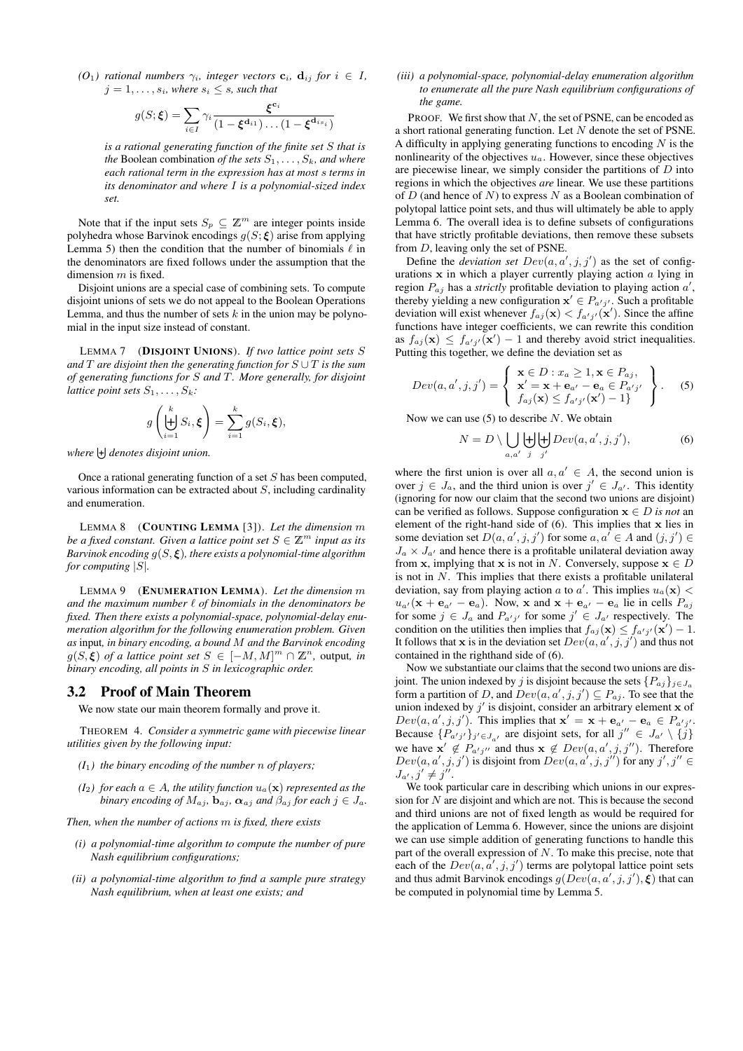*(O*<sub>1</sub>*) rational numbers*  $\gamma_i$ *, integer vectors*  $\mathbf{c}_i$ *,*  $\mathbf{d}_{ij}$  *for*  $i \in I$ *,*  $j = 1, \ldots, s_i$ , where  $s_i \leq s$ , such that

$$
g(S; \boldsymbol{\xi}) = \sum_{i \in I} \gamma_i \frac{\boldsymbol{\xi}^{\mathbf{c}_i}}{(1 - \boldsymbol{\xi}^{\mathbf{d}_{i1}}) \dots (1 - \boldsymbol{\xi}^{\mathbf{d}_{is_i}})}
$$

*is a rational generating function of the finite set* S *that is the* Boolean combination *of the sets*  $S_1, \ldots, S_k$ *, and where each rational term in the expression has at most* s *terms in its denominator and where* I *is a polynomial-sized index set.*

Note that if the input sets  $S_p \subseteq \mathbb{Z}^m$  are integer points inside polyhedra whose Barvinok encodings  $g(S; \xi)$  arise from applying Lemma 5) then the condition that the number of binomials  $\ell$  in the denominators are fixed follows under the assumption that the dimension  $m$  is fixed.

Disjoint unions are a special case of combining sets. To compute disjoint unions of sets we do not appeal to the Boolean Operations Lemma, and thus the number of sets  $k$  in the union may be polynomial in the input size instead of constant.

LEMMA 7 (DISJOINT UNIONS). *If two lattice point sets* S *and*  $T$  *are disjoint then the generating function for*  $S \cup T$  *is the sum of generating functions for* S *and* T*. More generally, for disjoint lattice point sets*  $S_1, \ldots, S_k$ *:* 

$$
g\left(\biguplus_{i=1}^k S_i, \xi\right) = \sum_{i=1}^k g(S_i, \xi),
$$

where  $\biguplus$  denotes disjoint union.

Once a rational generating function of a set S has been computed, various information can be extracted about  $S$ , including cardinality and enumeration.

LEMMA 8 (COUNTING LEMMA [3]). *Let the dimension* m *be a fixed constant. Given a lattice point set* S ∈ Z <sup>m</sup> *input as its Barvinok encoding*  $g(S, \xi)$ *, there exists a polynomial-time algorithm for computing* |S|*.*

LEMMA 9 (ENUMERATION LEMMA). *Let the dimension* m *and the maximum number*  $\ell$  *of binomials in the denominators be fixed. Then there exists a polynomial-space, polynomial-delay enumeration algorithm for the following enumeration problem. Given as* input*, in binary encoding, a bound* M *and the Barvinok encoding*  $g(S,\xi)$  *of a lattice point set*  $S \in [-M, M]^m \cap \mathbb{Z}^n$ , output, *in binary encoding, all points in* S *in lexicographic order.*

#### 3.2 Proof of Main Theorem

We now state our main theorem formally and prove it.

THEOREM 4. *Consider a symmetric game with piecewise linear utilities given by the following input:*

- *(I*1*) the binary encoding of the number* n *of players;*
- *(I*<sub>2</sub>*) for each*  $a \in A$ *, the utility function*  $u_a(\mathbf{x})$  *represented* as the *binary encoding of*  $M_{aj}$ ,  $\mathbf{b}_{aj}$ ,  $\alpha_{aj}$  *and*  $\beta_{aj}$  *for each*  $j \in J_a$ .

*Then, when the number of actions* m *is fixed, there exists*

- *(i) a polynomial-time algorithm to compute the number of pure Nash equilibrium configurations;*
- *(ii) a polynomial-time algorithm to find a sample pure strategy Nash equilibrium, when at least one exists; and*

#### *(iii) a polynomial-space, polynomial-delay enumeration algorithm to enumerate all the pure Nash equilibrium configurations of the game.*

PROOF. We first show that  $N$ , the set of PSNE, can be encoded as a short rational generating function. Let  $N$  denote the set of PSNE. A difficulty in applying generating functions to encoding  $N$  is the nonlinearity of the objectives  $u_a$ . However, since these objectives are piecewise linear, we simply consider the partitions of  $D$  into regions in which the objectives *are* linear. We use these partitions of  $D$  (and hence of  $N$ ) to express  $N$  as a Boolean combination of polytopal lattice point sets, and thus will ultimately be able to apply Lemma 6. The overall idea is to define subsets of configurations that have strictly profitable deviations, then remove these subsets from D, leaving only the set of PSNE.

Define the *deviation set*  $Dev(a, a', j, j')$  as the set of configurations  $x$  in which a player currently playing action  $a$  lying in region  $P_{aj}$  has a *strictly* profitable deviation to playing action  $a'$ , thereby yielding a new configuration  $x' \in P_{a'j'}$ . Such a profitable deviation will exist whenever  $f_{aj}(\mathbf{x}) < f_{a'j'}(\mathbf{x}')$ . Since the affine functions have integer coefficients, we can rewrite this condition as  $f_{aj}(\mathbf{x}) \leq f_{a'j'}(\mathbf{x}') - 1$  and thereby avoid strict inequalities. Putting this together, we define the deviation set as

$$
Dev(a, a', j, j') = \left\{ \begin{array}{l} \mathbf{x} \in D : x_a \ge 1, \mathbf{x} \in P_{aj}, \\ \mathbf{x}' = \mathbf{x} + \mathbf{e}_{a'} - \mathbf{e}_a \in P_{a'j'} \\ f_{aj}(\mathbf{x}) \le f_{a'j'}(\mathbf{x}') - 1 \end{array} \right\}.
$$
 (5)

Now we can use  $(5)$  to describe N. We obtain

$$
N = D \setminus \bigcup_{a,a'} \biguplus_{j} \biguplus_{j'} Dev(a,a',j,j'),\tag{6}
$$

where the first union is over all  $a, a' \in A$ , the second union is over  $j \in J_a$ , and the third union is over  $j' \in J_{a'}$ . This identity (ignoring for now our claim that the second two unions are disjoint) can be verified as follows. Suppose configuration x ∈ D *is not* an element of the right-hand side of (6). This implies that x lies in some deviation set  $D(a, a', j, j')$  for some  $a, a' \in A$  and  $(j, j') \in A$  $J_a \times J_{a'}$  and hence there is a profitable unilateral deviation away from x, implying that x is not in N. Conversely, suppose  $x \in D$ is not in  $N$ . This implies that there exists a profitable unilateral deviation, say from playing action a to a'. This implies  $u_a(\mathbf{x})$  <  $u_{a'}(\mathbf{x} + \mathbf{e}_{a'} - \mathbf{e}_a)$ . Now, x and  $\mathbf{x} + \mathbf{e}_{a'} - \mathbf{e}_a$  lie in cells  $P_{aj}$ for some  $j \in J_a$  and  $P_{a'j'}$  for some  $j' \in J_{a'}$  respectively. The condition on the utilities then implies that  $f_{aj}(\mathbf{x}) \leq f_{a'j'}(\mathbf{x}') - 1$ . It follows that **x** is in the deviation set  $Dev(a, a', j, j')$  and thus not contained in the righthand side of (6).

Now we substantiate our claims that the second two unions are disjoint. The union indexed by j is disjoint because the sets  $\{P_{aj}\}_{j\in J_a}$ form a partition of D, and  $Dev(a, a', j, j') \subseteq P_{aj}$ . To see that the union indexed by  $j'$  is disjoint, consider an arbitrary element x of  $Dev(a, a', j, j')$ . This implies that  $\mathbf{x}' = \mathbf{x} + \mathbf{e}_{a'} - \mathbf{e}_{a} \in P_{a'j'}$ . Because  $\{P_{a'j'}\}_{j' \in J_{a'}}$  are disjoint sets, for all  $j'' \in J_{a'} \setminus \{j\}$ we have  $\mathbf{x}' \notin P_{a'j''}$  and thus  $\mathbf{x} \notin Dev(a, a', j, j'')$ . Therefore  $Dev(a, a', j, j')$  is disjoint from  $Dev(a, a', j, j'')$  for any  $j', j'' \in$  $J_{a'}, j' \neq j''$ .

We took particular care in describing which unions in our expression for  $N$  are disjoint and which are not. This is because the second and third unions are not of fixed length as would be required for the application of Lemma 6. However, since the unions are disjoint we can use simple addition of generating functions to handle this part of the overall expression of N. To make this precise, note that each of the  $Dev(a, a', j, j')$  terms are polytopal lattice point sets and thus admit Barvinok encodings  $g(Dev(a, a', j, j'), \xi)$  that can be computed in polynomial time by Lemma 5.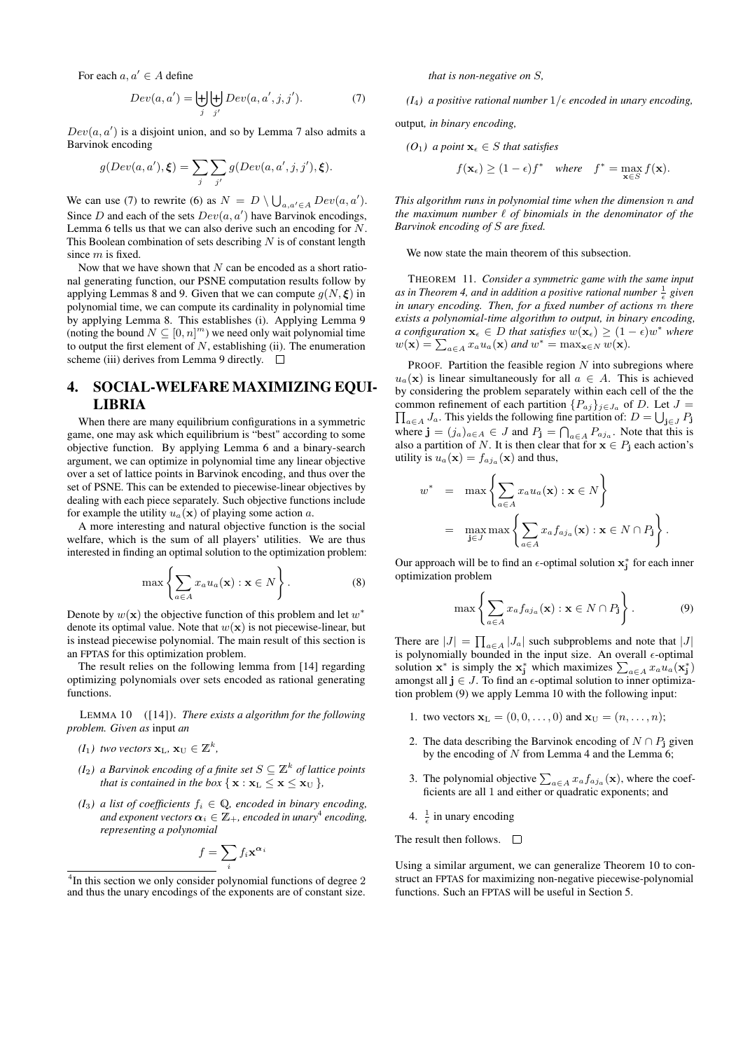For each  $a, a' \in A$  define

$$
Dev(a, a') = \biguplus_{j} \biguplus_{j'} Dev(a, a', j, j').
$$
 (7)

 $Dev(a, a')$  is a disjoint union, and so by Lemma 7 also admits a Barvinok encoding

$$
g(Dev(a, a'), \xi) = \sum_{j} \sum_{j'} g(Dev(a, a', j, j'), \xi).
$$

We can use (7) to rewrite (6) as  $N = D \setminus \bigcup_{a,a' \in A} Dev(a,a')$ . Since D and each of the sets  $Dev(a, a')$  have Barvinok encodings, Lemma 6 tells us that we can also derive such an encoding for  $N$ . This Boolean combination of sets describing  $N$  is of constant length since  $m$  is fixed.

Now that we have shown that  $N$  can be encoded as a short rational generating function, our PSNE computation results follow by applying Lemmas 8 and 9. Given that we can compute  $g(N, \xi)$  in polynomial time, we can compute its cardinality in polynomial time by applying Lemma 8. This establishes (i). Applying Lemma 9 (noting the bound  $N \subseteq [0, n]^m$ ) we need only wait polynomial time to output the first element of  $N$ , establishing (ii). The enumeration scheme (iii) derives from Lemma 9 directly.  $\square$ 

# 4. SOCIAL-WELFARE MAXIMIZING EQUI-LIBRIA

When there are many equilibrium configurations in a symmetric game, one may ask which equilibrium is "best" according to some objective function. By applying Lemma 6 and a binary-search argument, we can optimize in polynomial time any linear objective over a set of lattice points in Barvinok encoding, and thus over the set of PSNE. This can be extended to piecewise-linear objectives by dealing with each piece separately. Such objective functions include for example the utility  $u_a(\mathbf{x})$  of playing some action a.

A more interesting and natural objective function is the social welfare, which is the sum of all players' utilities. We are thus interested in finding an optimal solution to the optimization problem:

$$
\max\left\{\sum_{a\in A} x_a u_a(\mathbf{x}) : \mathbf{x} \in N\right\}.
$$
 (8)

Denote by  $w(\mathbf{x})$  the objective function of this problem and let  $w^*$ denote its optimal value. Note that  $w(\mathbf{x})$  is not piecewise-linear, but is instead piecewise polynomial. The main result of this section is an FPTAS for this optimization problem.

The result relies on the following lemma from [14] regarding optimizing polynomials over sets encoded as rational generating functions.

LEMMA 10 ([14]). *There exists a algorithm for the following problem. Given as* input *an*

- $(I_1)$  two vectors  $\mathbf{x}_L, \mathbf{x}_U \in \mathbb{Z}^k$ ,
- $(I_2)$  a Barvinok encoding of a finite set  $S \subseteq \mathbb{Z}^k$  of lattice points *that is contained in the box*  $\{ \mathbf{x} : \mathbf{x}_L \leq \mathbf{x} \leq \mathbf{x}_U \}$ *,*
- *(I<sub>3</sub>) a list of coefficients*  $f_i \in \mathbb{Q}$ *, encoded in binary encoding,* and exponent vectors  $\alpha_i \in \mathbb{Z}_+$ , encoded in unary<sup>4</sup> encoding, *representing a polynomial*

$$
f = \sum_{i} f_i \mathbf{x}^{\alpha_i}
$$

<sup>4</sup>In this section we only consider polynomial functions of degree 2 and thus the unary encodings of the exponents are of constant size. *that is non-negative on* S*,*

 $(I_4)$  *a positive rational number*  $1/\epsilon$  *encoded in unary encoding,* 

output*, in binary encoding,*

*(O*<sub>1</sub>*) a point*  $\mathbf{x}_\epsilon$  ∈ *S that satisfies* 

$$
f(\mathbf{x}_{\epsilon}) \ge (1 - \epsilon)f^*
$$
 where  $f^* = \max_{\mathbf{x} \in S} f(\mathbf{x}).$ 

*This algorithm runs in polynomial time when the dimension* n *and the maximum number*  $\ell$  *of binomials in the denominator of the Barvinok encoding of* S *are fixed.*

We now state the main theorem of this subsection.

THEOREM 11. *Consider a symmetric game with the same input* as in Theorem 4, and in addition a positive rational number  $\frac{1}{\epsilon}$  given *in unary encoding. Then, for a fixed number of actions* m *there exists a polynomial-time algorithm to output, in binary encoding, a* configuration  $\mathbf{x}_{\epsilon} \in D$  that satisfies  $w(\mathbf{x}_{\epsilon}) \geq (1 - \epsilon)w^*$  where  $w(\mathbf{x}) = \sum_{a \in A} x_a u_a(\mathbf{x})$  and  $w^* = \max_{\mathbf{x} \in N} w(\mathbf{x})$ .

PROOF. Partition the feasible region  $N$  into subregions where  $u_a(\mathbf{x})$  is linear simultaneously for all  $a \in A$ . This is achieved by considering the problem separately within each cell of the the common refinement of each partition  $\{P_{aj}\}_{j\in J_a}$  of D. Let  $J =$  $\prod_{a \in A} J_a$ . This yields the following fine partition of:  $D = \bigcup_{j \in J} P_j$ where  $\mathbf{j} = (j_a)_{a \in A} \in J$  and  $P_{\mathbf{j}} = \bigcap_{a \in A} P_{a j_a}$ . Note that this is also a partition of N. It is then clear that for  $x \in P_j$  each action's utility is  $u_a(\mathbf{x}) = f_{a j_a}(\mathbf{x})$  and thus,

$$
w^* = \max \left\{ \sum_{a \in A} x_a u_a(\mathbf{x}) : \mathbf{x} \in N \right\}
$$

$$
= \max_{\mathbf{j} \in J} \max \left\{ \sum_{a \in A} x_a f_{a j_a}(\mathbf{x}) : \mathbf{x} \in N \cap P_{\mathbf{j}} \right\}.
$$

Our approach will be to find an  $\epsilon$ -optimal solution  $x_j^*$  for each inner optimization problem

$$
\max\left\{\sum_{a\in A} x_a f_{aj_a}(\mathbf{x}) : \mathbf{x} \in N \cap P_\mathbf{j}\right\}.
$$
 (9)

There are  $|J| = \prod_{a \in A} |J_a|$  such subproblems and note that  $|J|$ is polynomially bounded in the input size. An overall  $\epsilon$ -optimal solution  $\mathbf{x}^*$  is simply the  $\mathbf{x}_j^*$  which maximizes  $\sum_{a \in A} x_a u_a(\mathbf{x}_j^*)$ amongst all  $j \in J$ . To find an  $\epsilon$ -optimal solution to inner optimization problem (9) we apply Lemma 10 with the following input:

- 1. two vectors  ${\bf x}_{L} = (0, 0, \dots, 0)$  and  ${\bf x}_{U} = (n, \dots, n);$
- 2. The data describing the Barvinok encoding of  $N \cap P_j$  given by the encoding of  $N$  from Lemma 4 and the Lemma 6;
- 3. The polynomial objective  $\sum_{a \in A} x_a f_{a j_a}(\mathbf{x})$ , where the coefficients are all 1 and either or quadratic exponents; and
- 4.  $\frac{1}{\epsilon}$  in unary encoding

The result then follows.  $\square$ 

Using a similar argument, we can generalize Theorem 10 to construct an FPTAS for maximizing non-negative piecewise-polynomial functions. Such an FPTAS will be useful in Section 5.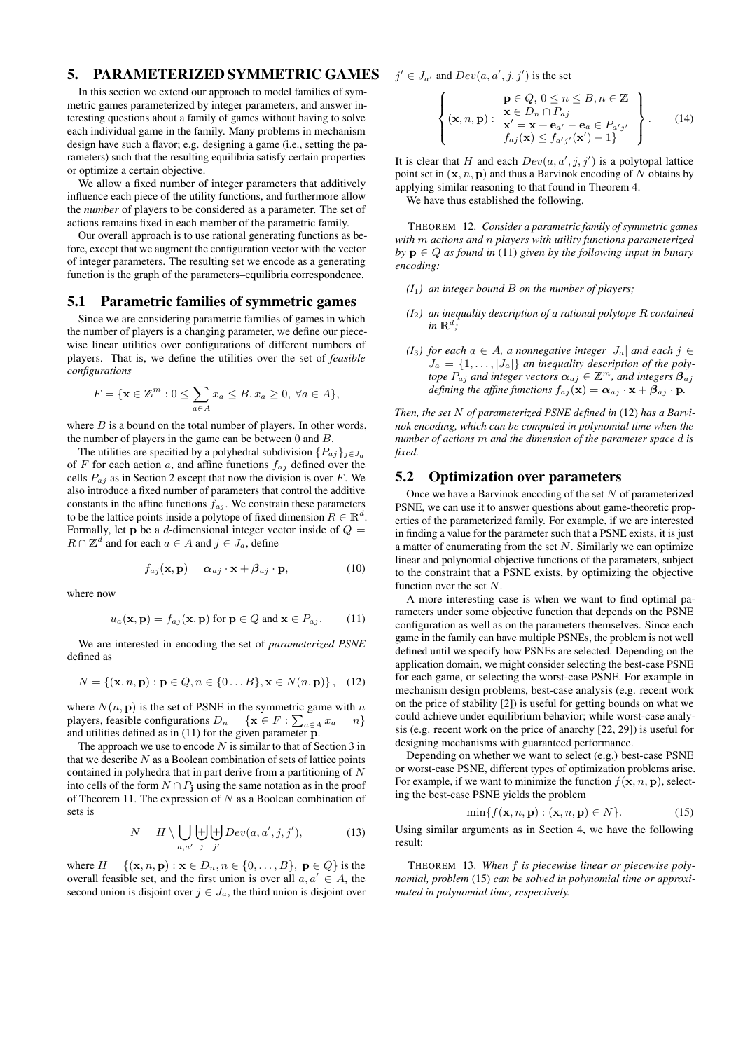# 5. PARAMETERIZED SYMMETRIC GAMES

In this section we extend our approach to model families of symmetric games parameterized by integer parameters, and answer interesting questions about a family of games without having to solve each individual game in the family. Many problems in mechanism design have such a flavor; e.g. designing a game (i.e., setting the parameters) such that the resulting equilibria satisfy certain properties or optimize a certain objective.

We allow a fixed number of integer parameters that additively influence each piece of the utility functions, and furthermore allow the *number* of players to be considered as a parameter. The set of actions remains fixed in each member of the parametric family.

Our overall approach is to use rational generating functions as before, except that we augment the configuration vector with the vector of integer parameters. The resulting set we encode as a generating function is the graph of the parameters–equilibria correspondence.

#### 5.1 Parametric families of symmetric games

Since we are considering parametric families of games in which the number of players is a changing parameter, we define our piecewise linear utilities over configurations of different numbers of players. That is, we define the utilities over the set of *feasible configurations*

$$
F = \{ \mathbf{x} \in \mathbb{Z}^m : 0 \le \sum_{a \in A} x_a \le B, x_a \ge 0, \ \forall a \in A \},\
$$

where  $B$  is a bound on the total number of players. In other words, the number of players in the game can be between  $0$  and  $B$ .

The utilities are specified by a polyhedral subdivision  $\{P_{aj}\}_{j\in J_a}$ of F for each action a, and affine functions  $f_{aj}$  defined over the cells  $P_{aj}$  as in Section 2 except that now the division is over F. We also introduce a fixed number of parameters that control the additive constants in the affine functions  $f_{ai}$ . We constrain these parameters to be the lattice points inside a polytope of fixed dimension  $R \in \mathbb{R}^d$ . Formally, let **p** be a d-dimensional integer vector inside of  $Q =$  $R \cap \mathbb{Z}^d$  and for each  $a \in A$  and  $j \in J_a$ , define

$$
f_{aj}(\mathbf{x}, \mathbf{p}) = \alpha_{aj} \cdot \mathbf{x} + \beta_{aj} \cdot \mathbf{p}, \qquad (10)
$$

where now

$$
u_a(\mathbf{x}, \mathbf{p}) = f_{aj}(\mathbf{x}, \mathbf{p}) \text{ for } \mathbf{p} \in Q \text{ and } \mathbf{x} \in P_{aj}. \tag{11}
$$

We are interested in encoding the set of *parameterized PSNE* defined as

$$
N = \{ (\mathbf{x}, n, \mathbf{p}) : \mathbf{p} \in Q, n \in \{0 \dots B\}, \mathbf{x} \in N(n, \mathbf{p}) \}, \quad (12)
$$

where  $N(n, p)$  is the set of PSNE in the symmetric game with n players, feasible configurations  $D_n = \{ \mathbf{x} \in F : \sum_{a \in A} x_a = n \}$ and utilities defined as in (11) for the given parameter p.

The approach we use to encode  $N$  is similar to that of Section 3 in that we describe  $N$  as a Boolean combination of sets of lattice points contained in polyhedra that in part derive from a partitioning of N into cells of the form  $N \cap P_j$  using the same notation as in the proof of Theorem 11. The expression of  $N$  as a Boolean combination of sets is

$$
N = H \setminus \bigcup_{a,a'} \biguplus_{j'} \biguplus_{j'} Dev(a,a',j,j'),\tag{13}
$$

where  $H = \{(\mathbf{x}, n, \mathbf{p}) : \mathbf{x} \in D_n, n \in \{0, \dots, B\}, \mathbf{p} \in Q\}$  is the overall feasible set, and the first union is over all  $a, a' \in A$ , the second union is disjoint over  $j \in J_\alpha$ , the third union is disjoint over  $j' \in J_{a'}$  and  $Dev(a, a', j, j')$  is the set

$$
\left\{ (\mathbf{x}, n, \mathbf{p}) : \begin{array}{l} \mathbf{p} \in Q, 0 \leq n \leq B, n \in \mathbb{Z} \\ \mathbf{x} \in D_n \cap P_{aj} \\ \mathbf{x}' = \mathbf{x} + \mathbf{e}_{a'} - \mathbf{e}_a \in P_{a'j'} \\ f_{aj}(\mathbf{x}) \leq f_{a'j'}(\mathbf{x}') - 1 \end{array} \right\}.
$$
 (14)

It is clear that H and each  $Dev(a, a', j, j')$  is a polytopal lattice point set in  $(x, n, p)$  and thus a Barvinok encoding of N obtains by applying similar reasoning to that found in Theorem 4.

We have thus established the following.

THEOREM 12. *Consider a parametric family of symmetric games with* m *actions and* n *players with utility functions parameterized by*  $p \in Q$  *as found in* (11) *given by the following input in binary encoding:*

- *(I*1*) an integer bound* B *on the number of players;*
- *(I*2*) an inequality description of a rational polytope* R *contained*  $in \mathbb{R}^d$ ;
- *(I*<sub>3</sub>*) for each*  $a \in A$ *, a nonnegative integer*  $|J_a|$  *and each*  $j ∈$  $J_a = \{1, \ldots, |J_a|\}$  *an inequality description of the polytope*  $P_{aj}$  *and integer vectors*  $\boldsymbol{\alpha}_{aj} \in \mathbb{Z}^m$ *, and integers*  $\boldsymbol{\beta}_{aj}$ *defining the affine functions*  $f_{aj}(\mathbf{x}) = \alpha_{aj} \cdot \mathbf{x} + \beta_{aj} \cdot \mathbf{p}$ .

*Then, the set* N *of parameterized PSNE defined in* (12) *has a Barvinok encoding, which can be computed in polynomial time when the number of actions* m *and the dimension of the parameter space* d *is fixed.*

#### 5.2 Optimization over parameters

Once we have a Barvinok encoding of the set  $N$  of parameterized PSNE, we can use it to answer questions about game-theoretic properties of the parameterized family. For example, if we are interested in finding a value for the parameter such that a PSNE exists, it is just a matter of enumerating from the set  $N$ . Similarly we can optimize linear and polynomial objective functions of the parameters, subject to the constraint that a PSNE exists, by optimizing the objective function over the set  $N$ .

A more interesting case is when we want to find optimal parameters under some objective function that depends on the PSNE configuration as well as on the parameters themselves. Since each game in the family can have multiple PSNEs, the problem is not well defined until we specify how PSNEs are selected. Depending on the application domain, we might consider selecting the best-case PSNE for each game, or selecting the worst-case PSNE. For example in mechanism design problems, best-case analysis (e.g. recent work on the price of stability [2]) is useful for getting bounds on what we could achieve under equilibrium behavior; while worst-case analysis (e.g. recent work on the price of anarchy [22, 29]) is useful for designing mechanisms with guaranteed performance.

Depending on whether we want to select (e.g.) best-case PSNE or worst-case PSNE, different types of optimization problems arise. For example, if we want to minimize the function  $f(\mathbf{x}, n, \mathbf{p})$ , selecting the best-case PSNE yields the problem

$$
\min\{f(\mathbf{x}, n, \mathbf{p}) : (\mathbf{x}, n, \mathbf{p}) \in N\}.
$$
 (15)

Using similar arguments as in Section 4, we have the following result:

THEOREM 13. *When* f *is piecewise linear or piecewise polynomial, problem* (15) *can be solved in polynomial time or approximated in polynomial time, respectively.*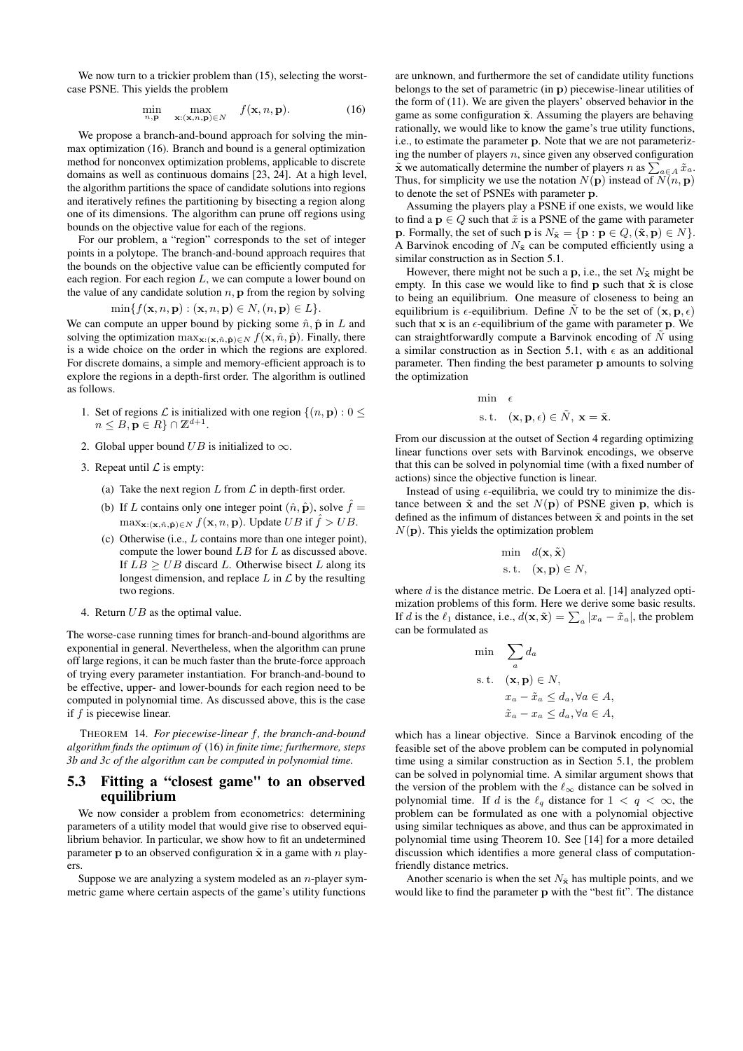We now turn to a trickier problem than  $(15)$ , selecting the worstcase PSNE. This yields the problem

$$
\min_{n,\mathbf{p}} \max_{\mathbf{x}: (\mathbf{x}, n, \mathbf{p}) \in N} f(\mathbf{x}, n, \mathbf{p}).
$$
 (16)

We propose a branch-and-bound approach for solving the minmax optimization (16). Branch and bound is a general optimization method for nonconvex optimization problems, applicable to discrete domains as well as continuous domains [23, 24]. At a high level, the algorithm partitions the space of candidate solutions into regions and iteratively refines the partitioning by bisecting a region along one of its dimensions. The algorithm can prune off regions using bounds on the objective value for each of the regions.

For our problem, a "region" corresponds to the set of integer points in a polytope. The branch-and-bound approach requires that the bounds on the objective value can be efficiently computed for each region. For each region L, we can compute a lower bound on the value of any candidate solution  $n$ ,  $p$  from the region by solving

$$
\min\{f(\mathbf{x},n,\mathbf{p}):(\mathbf{x},n,\mathbf{p})\in N,(n,\mathbf{p})\in L\}.
$$

We can compute an upper bound by picking some  $\hat{n}$ ,  $\hat{p}$  in L and solving the optimization  $\max_{\mathbf{x}: (\mathbf{x}, \hat{n}, \hat{\mathbf{p}}) \in N} f(\mathbf{x}, \hat{n}, \hat{\mathbf{p}})$ . Finally, there is a wide choice on the order in which the regions are explored. For discrete domains, a simple and memory-efficient approach is to explore the regions in a depth-first order. The algorithm is outlined as follows.

- 1. Set of regions  $\mathcal L$  is initialized with one region  $\{(n, \mathbf p): 0 \leq \mathbf p\}$  $n \leq B, \mathbf{p} \in R$   $\cap \mathbb{Z}^{d+1}$ .
- 2. Global upper bound UB is initialized to  $\infty$ .
- 3. Repeat until  $\mathcal L$  is empty:
	- (a) Take the next region  $L$  from  $\mathcal L$  in depth-first order.
	- (b) If L contains only one integer point  $(\hat{n}, \hat{\mathbf{p}})$ , solve  $\hat{f}$  =  $\max_{\mathbf{x}: (\mathbf{x}, \hat{n}, \hat{\mathbf{p}}) \in N} f(\mathbf{x}, n, \mathbf{p})$ . Update  $UB$  if  $\hat{f} > UB$ .
	- (c) Otherwise (i.e.,  $L$  contains more than one integer point), compute the lower bound  $LB$  for  $L$  as discussed above. If  $LB \geq UB$  discard L. Otherwise bisect L along its longest dimension, and replace  $L$  in  $\mathcal L$  by the resulting two regions.
- 4. Return UB as the optimal value.

The worse-case running times for branch-and-bound algorithms are exponential in general. Nevertheless, when the algorithm can prune off large regions, it can be much faster than the brute-force approach of trying every parameter instantiation. For branch-and-bound to be effective, upper- and lower-bounds for each region need to be computed in polynomial time. As discussed above, this is the case if f is piecewise linear.

THEOREM 14. *For piecewise-linear* f*, the branch-and-bound algorithm finds the optimum of* (16) *in finite time; furthermore, steps 3b and 3c of the algorithm can be computed in polynomial time.*

## 5.3 Fitting a "closest game" to an observed equilibrium

We now consider a problem from econometrics: determining parameters of a utility model that would give rise to observed equilibrium behavior. In particular, we show how to fit an undetermined parameter **p** to an observed configuration  $\tilde{\mathbf{x}}$  in a game with *n* players.

Suppose we are analyzing a system modeled as an  $n$ -player symmetric game where certain aspects of the game's utility functions

are unknown, and furthermore the set of candidate utility functions belongs to the set of parametric (in p) piecewise-linear utilities of the form of (11). We are given the players' observed behavior in the game as some configuration  $\tilde{\mathbf{x}}$ . Assuming the players are behaving rationally, we would like to know the game's true utility functions, i.e., to estimate the parameter p. Note that we are not parameterizing the number of players  $n$ , since given any observed configuration  $\tilde{\mathbf{x}}$  we automatically determine the number of players n as  $\sum_{a \in A} \tilde{x}_a$ . Thus, for simplicity we use the notation  $N(\mathbf{p})$  instead of  $N(n, \mathbf{p})$ to denote the set of PSNEs with parameter p.

Assuming the players play a PSNE if one exists, we would like to find a  $p \in Q$  such that  $\tilde{x}$  is a PSNE of the game with parameter **p**. Formally, the set of such **p** is  $N_{\tilde{\mathbf{x}}} = \{ \mathbf{p} : \mathbf{p} \in Q, (\tilde{\mathbf{x}}, \mathbf{p}) \in N \}.$ A Barvinok encoding of  $N_{\tilde{x}}$  can be computed efficiently using a similar construction as in Section 5.1.

However, there might not be such a p, i.e., the set  $N_{\tilde{\mathbf{x}}}$  might be empty. In this case we would like to find  $p$  such that  $\tilde{x}$  is close to being an equilibrium. One measure of closeness to being an equilibrium is  $\epsilon$ -equilibrium. Define  $\tilde{N}$  to be the set of  $(\mathbf{x}, \mathbf{p}, \epsilon)$ such that  $x$  is an  $\epsilon$ -equilibrium of the game with parameter p. We can straightforwardly compute a Barvinok encoding of  $\tilde{N}$  using a similar construction as in Section 5.1, with  $\epsilon$  as an additional parameter. Then finding the best parameter p amounts to solving the optimization

$$
\begin{aligned}\n\min \quad \epsilon \\
\text{s.t.} \quad (\mathbf{x}, \mathbf{p}, \epsilon) \in \tilde{N}, \ \mathbf{x} = \tilde{\mathbf{x}}.\n\end{aligned}
$$

From our discussion at the outset of Section 4 regarding optimizing linear functions over sets with Barvinok encodings, we observe that this can be solved in polynomial time (with a fixed number of actions) since the objective function is linear.

Instead of using  $\epsilon$ -equilibria, we could try to minimize the distance between  $\tilde{x}$  and the set  $N(p)$  of PSNE given p, which is defined as the infimum of distances between  $\tilde{\mathbf{x}}$  and points in the set  $N(\mathbf{p})$ . This yields the optimization problem

$$
\begin{aligned}\n\min \quad & d(\mathbf{x}, \tilde{\mathbf{x}}) \\
\text{s.t.} \quad & (\mathbf{x}, \mathbf{p}) \in N,\n\end{aligned}
$$

where  $d$  is the distance metric. De Loera et al. [14] analyzed optimization problems of this form. Here we derive some basic results. If *d* is the  $\ell_1$  distance, i.e.,  $d(\mathbf{x}, \tilde{\mathbf{x}}) = \sum_a |x_a - \tilde{x}_a|$ , the problem can be formulated as

$$
\begin{aligned}\n\min \quad & \sum_{a} d_a \\
\text{s.t.} \quad & (\mathbf{x}, \mathbf{p}) \in N, \\
& x_a - \tilde{x}_a \leq d_a, \forall a \in A, \\
& \tilde{x}_a - x_a \leq d_a, \forall a \in A,\n\end{aligned}
$$

which has a linear objective. Since a Barvinok encoding of the feasible set of the above problem can be computed in polynomial time using a similar construction as in Section 5.1, the problem can be solved in polynomial time. A similar argument shows that the version of the problem with the  $\ell_{\infty}$  distance can be solved in polynomial time. If d is the  $\ell_q$  distance for  $1 < q < \infty$ , the problem can be formulated as one with a polynomial objective using similar techniques as above, and thus can be approximated in polynomial time using Theorem 10. See [14] for a more detailed discussion which identifies a more general class of computationfriendly distance metrics.

Another scenario is when the set  $N_{\tilde{x}}$  has multiple points, and we would like to find the parameter p with the "best fit". The distance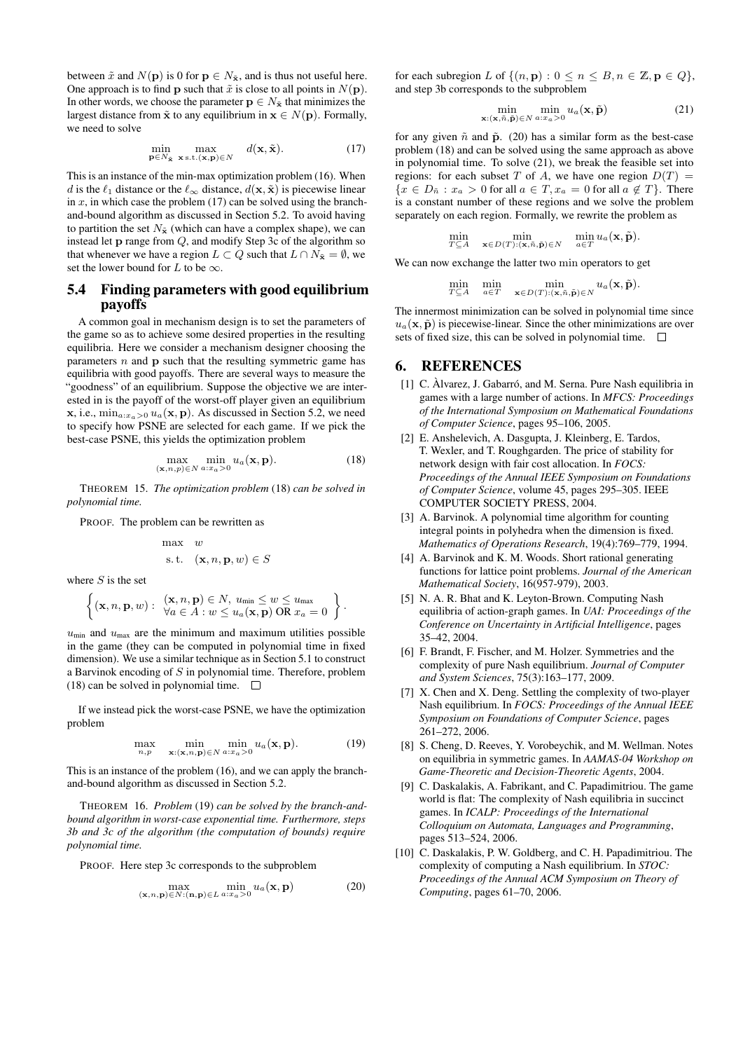between  $\tilde{x}$  and  $N(\mathbf{p})$  is 0 for  $\mathbf{p} \in N_{\tilde{\mathbf{x}}}$ , and is thus not useful here. One approach is to find **p** such that  $\tilde{x}$  is close to all points in  $N(\mathbf{p})$ . In other words, we choose the parameter  $p \in N_{\tilde{x}}$  that minimizes the largest distance from  $\tilde{\mathbf{x}}$  to any equilibrium in  $\mathbf{x} \in N(\mathbf{p})$ . Formally, we need to solve

$$
\min_{\mathbf{p}\in N_{\tilde{\mathbf{x}}}}\max_{\mathbf{x}\,\text{s.t.}(\mathbf{x},\mathbf{p})\in N} \quad d(\mathbf{x},\tilde{\mathbf{x}}). \tag{17}
$$

This is an instance of the min-max optimization problem (16). When d is the  $\ell_1$  distance or the  $\ell_{\infty}$  distance,  $d(\mathbf{x}, \tilde{\mathbf{x}})$  is piecewise linear in  $x$ , in which case the problem (17) can be solved using the branchand-bound algorithm as discussed in Section 5.2. To avoid having to partition the set  $N_{\tilde{x}}$  (which can have a complex shape), we can instead let p range from Q, and modify Step 3c of the algorithm so that whenever we have a region  $L \subset Q$  such that  $L \cap N_{\tilde{\mathbf{x}}} = \emptyset$ , we set the lower bound for L to be  $\infty$ .

## 5.4 Finding parameters with good equilibrium payoffs

A common goal in mechanism design is to set the parameters of the game so as to achieve some desired properties in the resulting equilibria. Here we consider a mechanism designer choosing the parameters  $n$  and  $p$  such that the resulting symmetric game has equilibria with good payoffs. There are several ways to measure the "goodness" of an equilibrium. Suppose the objective we are interested in is the payoff of the worst-off player given an equilibrium **x**, i.e.,  $\min_{a:x_a>0} u_a(\mathbf{x}, \mathbf{p})$ . As discussed in Section 5.2, we need to specify how PSNE are selected for each game. If we pick the best-case PSNE, this yields the optimization problem

$$
\max_{(\mathbf{x},n,p)\in N} \min_{a:x_a>0} u_a(\mathbf{x},\mathbf{p}).
$$
\n(18)

THEOREM 15. *The optimization problem* (18) *can be solved in polynomial time.*

PROOF. The problem can be rewritten as

$$
\begin{aligned}\n\max & \quad w \\
\text{s.t.} & \quad (\mathbf{x}, n, \mathbf{p}, w) \in S\n\end{aligned}
$$

where  $S$  is the set

$$
\left\{(\mathbf{x}, n, \mathbf{p}, w): \begin{array}{l} (\mathbf{x}, n, \mathbf{p}) \in N, u_{\min} \leq w \leq u_{\max} \\ \forall a \in A : w \leq u_a(\mathbf{x}, \mathbf{p}) \text{ OR } x_a = 0 \end{array}\right\}.
$$

 $u_{\text{min}}$  and  $u_{\text{max}}$  are the minimum and maximum utilities possible in the game (they can be computed in polynomial time in fixed dimension). We use a similar technique as in Section 5.1 to construct a Barvinok encoding of S in polynomial time. Therefore, problem (18) can be solved in polynomial time.  $\Box$ 

If we instead pick the worst-case PSNE, we have the optimization problem

$$
\max_{n,p} \min_{\mathbf{x}: (\mathbf{x}, n, \mathbf{p}) \in N} \min_{a: x_a > 0} u_a(\mathbf{x}, \mathbf{p}).
$$
 (19)

This is an instance of the problem (16), and we can apply the branchand-bound algorithm as discussed in Section 5.2.

THEOREM 16. *Problem* (19) *can be solved by the branch-andbound algorithm in worst-case exponential time. Furthermore, steps 3b and 3c of the algorithm (the computation of bounds) require polynomial time.*

PROOF. Here step 3c corresponds to the subproblem

$$
\max_{(\mathbf{x},n,\mathbf{p}) \in N: (\mathbf{n},\mathbf{p}) \in L} \min_{a:x_a > 0} u_a(\mathbf{x},\mathbf{p})
$$
 (20)

for each subregion L of  $\{(n, \mathbf{p}) : 0 \le n \le B, n \in \mathbb{Z}, \mathbf{p} \in Q\},\$ and step 3b corresponds to the subproblem

$$
\min_{\mathbf{x}: (\mathbf{x}, \tilde{n}, \tilde{\mathbf{p}}) \in N} \min_{a: x_a > 0} u_a(\mathbf{x}, \tilde{\mathbf{p}})
$$
(21)

for any given  $\tilde{n}$  and  $\tilde{p}$ . (20) has a similar form as the best-case problem (18) and can be solved using the same approach as above in polynomial time. To solve (21), we break the feasible set into regions: for each subset T of A, we have one region  $D(T) =$  ${x \in D_{\tilde{n}} : x_a > 0$  for all  $a \in T, x_a = 0$  for all  $a \notin T$ . There is a constant number of these regions and we solve the problem separately on each region. Formally, we rewrite the problem as

$$
\min_{T \subseteq A} \quad \min_{\mathbf{x} \in D(T): (\mathbf{x}, \tilde{n}, \tilde{\mathbf{p}}) \in N} \quad \min_{a \in T} u_a(\mathbf{x}, \tilde{\mathbf{p}}).
$$

We can now exchange the latter two min operators to get

$$
\min_{T \subseteq A} \quad \min_{a \in T} \quad \min_{\mathbf{x} \in D(T): (\mathbf{x}, \tilde{n}, \tilde{\mathbf{p}}) \in N} u_a(\mathbf{x}, \tilde{\mathbf{p}}).
$$

The innermost minimization can be solved in polynomial time since  $u_a(\mathbf{x}, \tilde{\mathbf{p}})$  is piecewise-linear. Since the other minimizations are over sets of fixed size, this can be solved in polynomial time.

## 6. REFERENCES

- [1] C. Àlvarez, J. Gabarró, and M. Serna. Pure Nash equilibria in games with a large number of actions. In *MFCS: Proceedings of the International Symposium on Mathematical Foundations of Computer Science*, pages 95–106, 2005.
- [2] E. Anshelevich, A. Dasgupta, J. Kleinberg, E. Tardos, T. Wexler, and T. Roughgarden. The price of stability for network design with fair cost allocation. In *FOCS: Proceedings of the Annual IEEE Symposium on Foundations of Computer Science*, volume 45, pages 295–305. IEEE COMPUTER SOCIETY PRESS, 2004.
- [3] A. Barvinok. A polynomial time algorithm for counting integral points in polyhedra when the dimension is fixed. *Mathematics of Operations Research*, 19(4):769–779, 1994.
- [4] A. Barvinok and K. M. Woods. Short rational generating functions for lattice point problems. *Journal of the American Mathematical Society*, 16(957-979), 2003.
- [5] N. A. R. Bhat and K. Leyton-Brown. Computing Nash equilibria of action-graph games. In *UAI: Proceedings of the Conference on Uncertainty in Artificial Intelligence*, pages 35–42, 2004.
- [6] F. Brandt, F. Fischer, and M. Holzer. Symmetries and the complexity of pure Nash equilibrium. *Journal of Computer and System Sciences*, 75(3):163–177, 2009.
- [7] X. Chen and X. Deng. Settling the complexity of two-player Nash equilibrium. In *FOCS: Proceedings of the Annual IEEE Symposium on Foundations of Computer Science*, pages 261–272, 2006.
- [8] S. Cheng, D. Reeves, Y. Vorobeychik, and M. Wellman. Notes on equilibria in symmetric games. In *AAMAS-04 Workshop on Game-Theoretic and Decision-Theoretic Agents*, 2004.
- [9] C. Daskalakis, A. Fabrikant, and C. Papadimitriou. The game world is flat: The complexity of Nash equilibria in succinct games. In *ICALP: Proceedings of the International Colloquium on Automata, Languages and Programming*, pages 513–524, 2006.
- [10] C. Daskalakis, P. W. Goldberg, and C. H. Papadimitriou. The complexity of computing a Nash equilibrium. In *STOC: Proceedings of the Annual ACM Symposium on Theory of Computing*, pages 61–70, 2006.